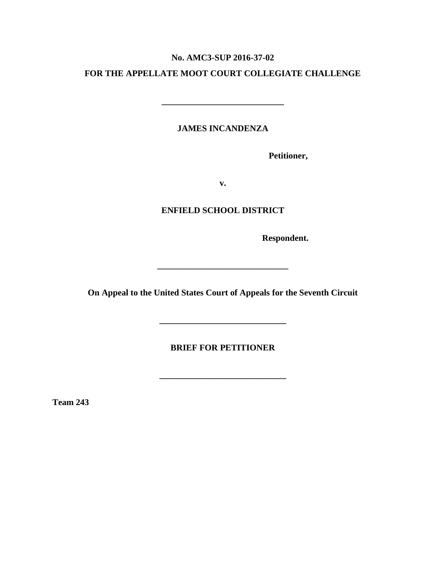#### **No. AMC3-SUP 2016-37-02**

#### **FOR THE APPELLATE MOOT COURT COLLEGIATE CHALLENGE**

**\_\_\_\_\_\_\_\_\_\_\_\_\_\_\_\_\_\_\_\_\_\_\_\_\_\_\_\_**

**JAMES INCANDENZA**

**Petitioner,**

**v.**

#### **ENFIELD SCHOOL DISTRICT**

**Respondent.**

**On Appeal to the United States Court of Appeals for the Seventh Circuit**

**\_\_\_\_\_\_\_\_\_\_\_\_\_\_\_\_\_\_\_\_\_\_\_\_\_\_\_\_\_\_**

**BRIEF FOR PETITIONER**

**\_\_\_\_\_\_\_\_\_\_\_\_\_\_\_\_\_\_\_\_\_\_\_\_\_\_\_\_\_**

**\_\_\_\_\_\_\_\_\_\_\_\_\_\_\_\_\_\_\_\_\_\_\_\_\_\_\_\_\_**

**Team 243**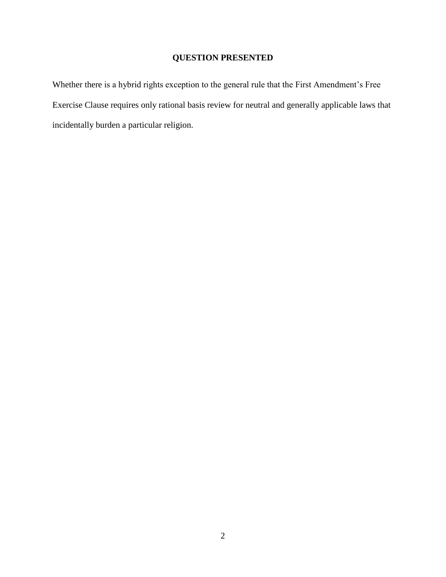## **QUESTION PRESENTED**

Whether there is a hybrid rights exception to the general rule that the First Amendment's Free Exercise Clause requires only rational basis review for neutral and generally applicable laws that incidentally burden a particular religion.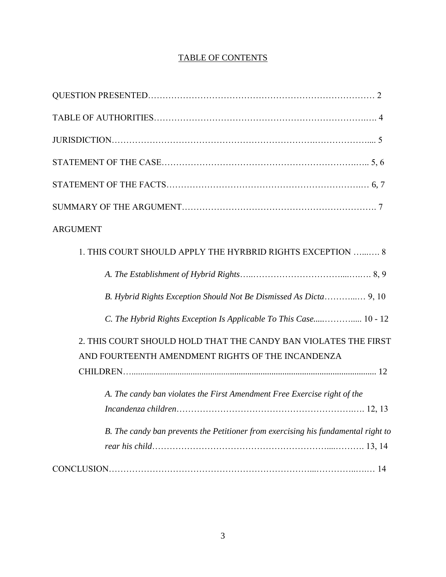### TABLE OF CONTENTS

| <b>ARGUMENT</b>                                                                                                      |
|----------------------------------------------------------------------------------------------------------------------|
| 1. THIS COURT SHOULD APPLY THE HYRBRID RIGHTS EXCEPTION  8                                                           |
|                                                                                                                      |
| B. Hybrid Rights Exception Should Not Be Dismissed As Dicta 9, 10                                                    |
| C. The Hybrid Rights Exception Is Applicable To This Case 10 - 12                                                    |
| 2. THIS COURT SHOULD HOLD THAT THE CANDY BAN VIOLATES THE FIRST<br>AND FOURTEENTH AMENDMENT RIGHTS OF THE INCANDENZA |
| A. The candy ban violates the First Amendment Free Exercise right of the                                             |
|                                                                                                                      |
| B. The candy ban prevents the Petitioner from exercising his fundamental right to                                    |
|                                                                                                                      |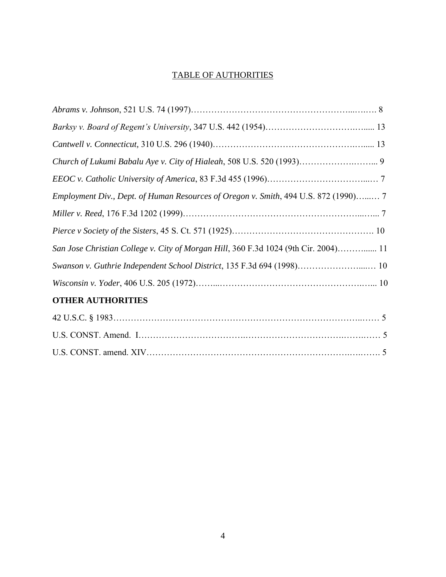### TABLE OF AUTHORITIES

| Employment Div., Dept. of Human Resources of Oregon v. Smith, 494 U.S. 872 (1990) 7 |
|-------------------------------------------------------------------------------------|
|                                                                                     |
|                                                                                     |
| San Jose Christian College v. City of Morgan Hill, 360 F.3d 1024 (9th Cir. 2004) 11 |
| Swanson v. Guthrie Independent School District, 135 F.3d 694 (1998) 10              |
|                                                                                     |
| <b>OTHER AUTHORITIES</b>                                                            |
|                                                                                     |
|                                                                                     |
|                                                                                     |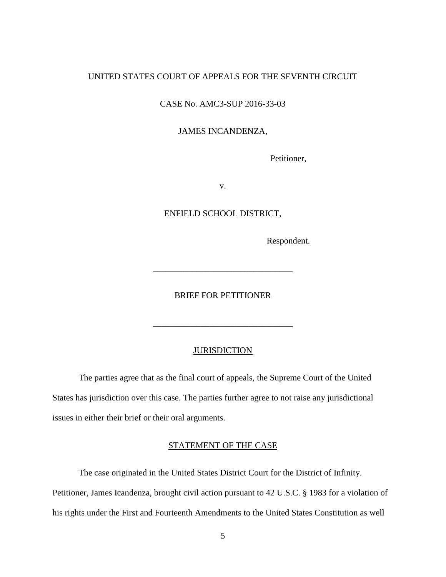#### UNITED STATES COURT OF APPEALS FOR THE SEVENTH CIRCUIT

CASE No. AMC3-SUP 2016-33-03

#### JAMES INCANDENZA,

Petitioner,

v.

ENFIELD SCHOOL DISTRICT,

Respondent.

BRIEF FOR PETITIONER

\_\_\_\_\_\_\_\_\_\_\_\_\_\_\_\_\_\_\_\_\_\_\_\_\_\_\_\_\_\_\_\_

\_\_\_\_\_\_\_\_\_\_\_\_\_\_\_\_\_\_\_\_\_\_\_\_\_\_\_\_\_\_\_\_

#### **JURISDICTION**

The parties agree that as the final court of appeals, the Supreme Court of the United States has jurisdiction over this case. The parties further agree to not raise any jurisdictional issues in either their brief or their oral arguments.

#### STATEMENT OF THE CASE

The case originated in the United States District Court for the District of Infinity. Petitioner, James Icandenza, brought civil action pursuant to 42 U.S.C. § 1983 for a violation of his rights under the First and Fourteenth Amendments to the United States Constitution as well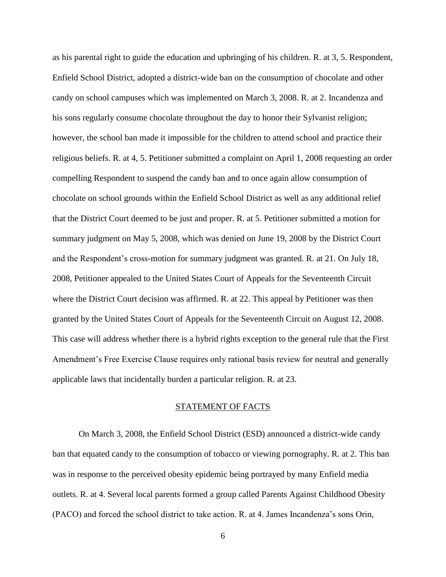as his parental right to guide the education and upbringing of his children. R. at 3, 5. Respondent, Enfield School District, adopted a district-wide ban on the consumption of chocolate and other candy on school campuses which was implemented on March 3, 2008. R. at 2. Incandenza and his sons regularly consume chocolate throughout the day to honor their Sylvanist religion; however, the school ban made it impossible for the children to attend school and practice their religious beliefs. R. at 4, 5. Petitioner submitted a complaint on April 1, 2008 requesting an order compelling Respondent to suspend the candy ban and to once again allow consumption of chocolate on school grounds within the Enfield School District as well as any additional relief that the District Court deemed to be just and proper. R. at 5. Petitioner submitted a motion for summary judgment on May 5, 2008, which was denied on June 19, 2008 by the District Court and the Respondent's cross-motion for summary judgment was granted. R. at 21. On July 18, 2008, Petitioner appealed to the United States Court of Appeals for the Seventeenth Circuit where the District Court decision was affirmed. R. at 22. This appeal by Petitioner was then granted by the United States Court of Appeals for the Seventeenth Circuit on August 12, 2008. This case will address whether there is a hybrid rights exception to the general rule that the First Amendment's Free Exercise Clause requires only rational basis review for neutral and generally applicable laws that incidentally burden a particular religion. R. at 23.

#### STATEMENT OF FACTS

On March 3, 2008, the Enfield School District (ESD) announced a district-wide candy ban that equated candy to the consumption of tobacco or viewing pornography. R. at 2. This ban was in response to the perceived obesity epidemic being portrayed by many Enfield media outlets. R. at 4. Several local parents formed a group called Parents Against Childhood Obesity (PACO) and forced the school district to take action. R. at 4. James Incandenza's sons Orin,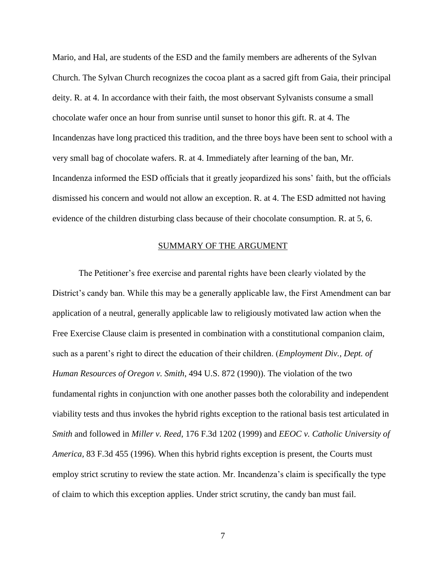Mario, and Hal, are students of the ESD and the family members are adherents of the Sylvan Church. The Sylvan Church recognizes the cocoa plant as a sacred gift from Gaia, their principal deity. R. at 4. In accordance with their faith, the most observant Sylvanists consume a small chocolate wafer once an hour from sunrise until sunset to honor this gift. R. at 4. The Incandenzas have long practiced this tradition, and the three boys have been sent to school with a very small bag of chocolate wafers. R. at 4. Immediately after learning of the ban, Mr. Incandenza informed the ESD officials that it greatly jeopardized his sons' faith, but the officials dismissed his concern and would not allow an exception. R. at 4. The ESD admitted not having evidence of the children disturbing class because of their chocolate consumption. R. at 5, 6.

#### SUMMARY OF THE ARGUMENT

The Petitioner's free exercise and parental rights have been clearly violated by the District's candy ban. While this may be a generally applicable law, the First Amendment can bar application of a neutral, generally applicable law to religiously motivated law action when the Free Exercise Clause claim is presented in combination with a constitutional companion claim, such as a parent's right to direct the education of their children. (*Employment Div., Dept. of Human Resources of Oregon v. Smith*, 494 U.S. 872 (1990)). The violation of the two fundamental rights in conjunction with one another passes both the colorability and independent viability tests and thus invokes the hybrid rights exception to the rational basis test articulated in *Smith* and followed in *Miller v. Reed*, 176 F.3d 1202 (1999) and *EEOC v. Catholic University of America,* 83 F.3d 455 (1996). When this hybrid rights exception is present, the Courts must employ strict scrutiny to review the state action. Mr. Incandenza's claim is specifically the type of claim to which this exception applies. Under strict scrutiny, the candy ban must fail.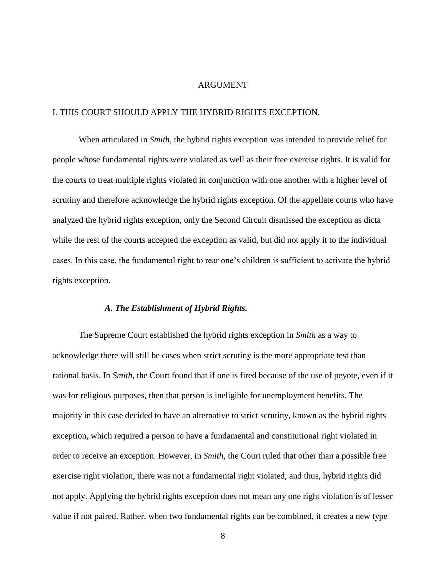#### ARGUMENT

#### I. THIS COURT SHOULD APPLY THE HYBRID RIGHTS EXCEPTION.

When articulated in *Smith*, the hybrid rights exception was intended to provide relief for people whose fundamental rights were violated as well as their free exercise rights. It is valid for the courts to treat multiple rights violated in conjunction with one another with a higher level of scrutiny and therefore acknowledge the hybrid rights exception. Of the appellate courts who have analyzed the hybrid rights exception, only the Second Circuit dismissed the exception as dicta while the rest of the courts accepted the exception as valid, but did not apply it to the individual cases. In this case, the fundamental right to rear one's children is sufficient to activate the hybrid rights exception.

#### *A. The Establishment of Hybrid Rights.*

The Supreme Court established the hybrid rights exception in *Smith* as a way to acknowledge there will still be cases when strict scrutiny is the more appropriate test than rational basis. In *Smith*, the Court found that if one is fired because of the use of peyote, even if it was for religious purposes, then that person is ineligible for unemployment benefits. The majority in this case decided to have an alternative to strict scrutiny, known as the hybrid rights exception, which required a person to have a fundamental and constitutional right violated in order to receive an exception. However, in *Smith,* the Court ruled that other than a possible free exercise right violation, there was not a fundamental right violated, and thus, hybrid rights did not apply. Applying the hybrid rights exception does not mean any one right violation is of lesser value if not paired. Rather, when two fundamental rights can be combined, it creates a new type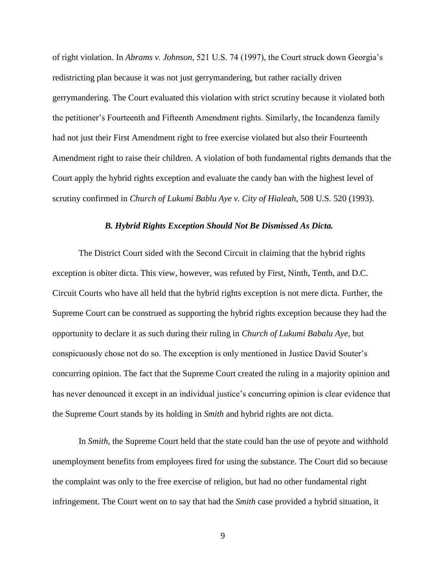of right violation. In *Abrams v. Johnson*, 521 U.S. 74 (1997), the Court struck down Georgia's redistricting plan because it was not just gerrymandering, but rather racially driven gerrymandering. The Court evaluated this violation with strict scrutiny because it violated both the petitioner's Fourteenth and Fifteenth Amendment rights. Similarly, the Incandenza family had not just their First Amendment right to free exercise violated but also their Fourteenth Amendment right to raise their children. A violation of both fundamental rights demands that the Court apply the hybrid rights exception and evaluate the candy ban with the highest level of scrutiny confirmed in *Church of Lukumi Bablu Aye v. City of Hialeah*, 508 U.S. 520 (1993).

#### *B. Hybrid Rights Exception Should Not Be Dismissed As Dicta.*

The District Court sided with the Second Circuit in claiming that the hybrid rights exception is obiter dicta. This view, however, was refuted by First, Ninth, Tenth, and D.C. Circuit Courts who have all held that the hybrid rights exception is not mere dicta. Further, the Supreme Court can be construed as supporting the hybrid rights exception because they had the opportunity to declare it as such during their ruling in *Church of Lukumi Babalu Aye*, but conspicuously chose not do so. The exception is only mentioned in Justice David Souter's concurring opinion. The fact that the Supreme Court created the ruling in a majority opinion and has never denounced it except in an individual justice's concurring opinion is clear evidence that the Supreme Court stands by its holding in *Smith* and hybrid rights are not dicta.

In *Smith*, the Supreme Court held that the state could ban the use of peyote and withhold unemployment benefits from employees fired for using the substance. The Court did so because the complaint was only to the free exercise of religion, but had no other fundamental right infringement. The Court went on to say that had the *Smith* case provided a hybrid situation, it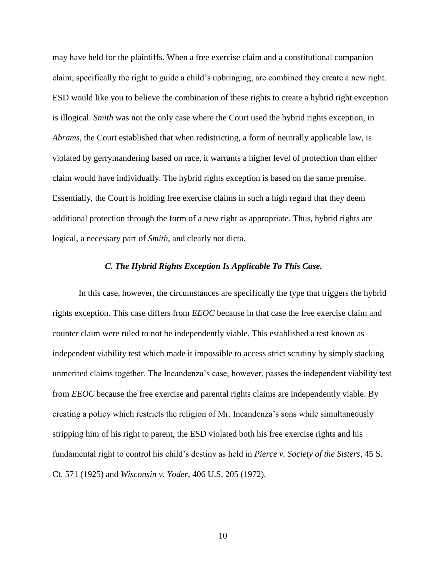may have held for the plaintiffs. When a free exercise claim and a constitutional companion claim, specifically the right to guide a child's upbringing, are combined they create a new right. ESD would like you to believe the combination of these rights to create a hybrid right exception is illogical. *Smith* was not the only case where the Court used the hybrid rights exception, in *Abrams,* the Court established that when redistricting, a form of neutrally applicable law, is violated by gerrymandering based on race, it warrants a higher level of protection than either claim would have individually. The hybrid rights exception is based on the same premise. Essentially, the Court is holding free exercise claims in such a high regard that they deem additional protection through the form of a new right as appropriate. Thus, hybrid rights are logical, a necessary part of *Smith*, and clearly not dicta.

#### *C. The Hybrid Rights Exception Is Applicable To This Case.*

In this case, however, the circumstances are specifically the type that triggers the hybrid rights exception. This case differs from *EEOC* because in that case the free exercise claim and counter claim were ruled to not be independently viable. This established a test known as independent viability test which made it impossible to access strict scrutiny by simply stacking unmerited claims together. The Incandenza's case, however, passes the independent viability test from *EEOC* because the free exercise and parental rights claims are independently viable. By creating a policy which restricts the religion of Mr. Incandenza's sons while simultaneously stripping him of his right to parent, the ESD violated both his free exercise rights and his fundamental right to control his child's destiny as held in *Pierce v. Society of the Sisters*, 45 S. Ct. 571 (1925) and *Wisconsin v. Yoder,* 406 U.S. 205 (1972).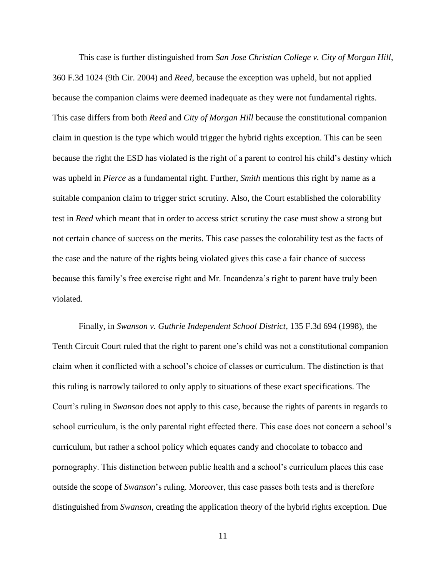This case is further distinguished from *San Jose Christian College v. City of Morgan Hill*, 360 F.3d 1024 (9th Cir. 2004) and *Reed,* because the exception was upheld, but not applied because the companion claims were deemed inadequate as they were not fundamental rights. This case differs from both *Reed* and *City of Morgan Hill* because the constitutional companion claim in question is the type which would trigger the hybrid rights exception. This can be seen because the right the ESD has violated is the right of a parent to control his child's destiny which was upheld in *Pierce* as a fundamental right. Further, *Smith* mentions this right by name as a suitable companion claim to trigger strict scrutiny. Also, the Court established the colorability test in *Reed* which meant that in order to access strict scrutiny the case must show a strong but not certain chance of success on the merits. This case passes the colorability test as the facts of the case and the nature of the rights being violated gives this case a fair chance of success because this family's free exercise right and Mr. Incandenza's right to parent have truly been violated.

Finally, in *Swanson v. Guthrie Independent School District*, 135 F.3d 694 (1998), the Tenth Circuit Court ruled that the right to parent one's child was not a constitutional companion claim when it conflicted with a school's choice of classes or curriculum. The distinction is that this ruling is narrowly tailored to only apply to situations of these exact specifications. The Court's ruling in *Swanson* does not apply to this case, because the rights of parents in regards to school curriculum, is the only parental right effected there. This case does not concern a school's curriculum, but rather a school policy which equates candy and chocolate to tobacco and pornography. This distinction between public health and a school's curriculum places this case outside the scope of *Swanson*'s ruling. Moreover, this case passes both tests and is therefore distinguished from *Swanson*, creating the application theory of the hybrid rights exception. Due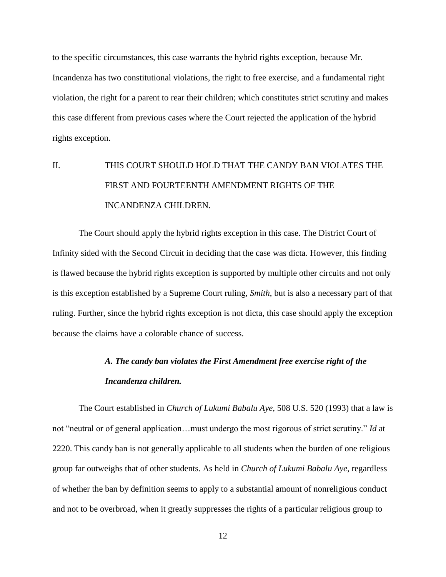to the specific circumstances, this case warrants the hybrid rights exception, because Mr. Incandenza has two constitutional violations, the right to free exercise, and a fundamental right violation, the right for a parent to rear their children; which constitutes strict scrutiny and makes this case different from previous cases where the Court rejected the application of the hybrid rights exception.

# II. THIS COURT SHOULD HOLD THAT THE CANDY BAN VIOLATES THE FIRST AND FOURTEENTH AMENDMENT RIGHTS OF THE INCANDENZA CHILDREN.

The Court should apply the hybrid rights exception in this case. The District Court of Infinity sided with the Second Circuit in deciding that the case was dicta. However, this finding is flawed because the hybrid rights exception is supported by multiple other circuits and not only is this exception established by a Supreme Court ruling, *Smith*, but is also a necessary part of that ruling. Further, since the hybrid rights exception is not dicta, this case should apply the exception because the claims have a colorable chance of success.

## *A. The candy ban violates the First Amendment free exercise right of the Incandenza children.*

The Court established in *Church of Lukumi Babalu Aye,* 508 U.S. 520 (1993) that a law is not "neutral or of general application…must undergo the most rigorous of strict scrutiny." *Id* at 2220. This candy ban is not generally applicable to all students when the burden of one religious group far outweighs that of other students. As held in *Church of Lukumi Babalu Aye*, regardless of whether the ban by definition seems to apply to a substantial amount of nonreligious conduct and not to be overbroad, when it greatly suppresses the rights of a particular religious group to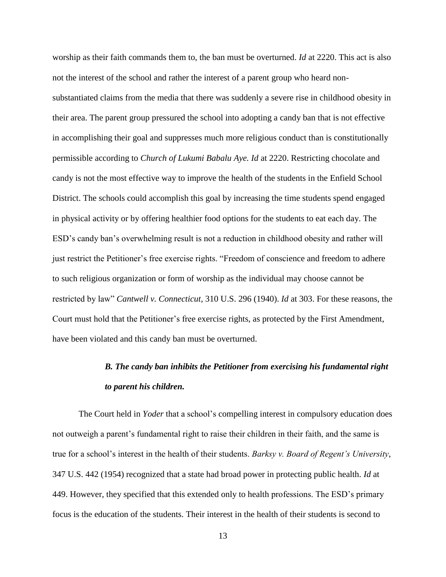worship as their faith commands them to, the ban must be overturned. *Id* at 2220. This act is also not the interest of the school and rather the interest of a parent group who heard nonsubstantiated claims from the media that there was suddenly a severe rise in childhood obesity in their area. The parent group pressured the school into adopting a candy ban that is not effective in accomplishing their goal and suppresses much more religious conduct than is constitutionally permissible according to *Church of Lukumi Babalu Aye. Id* at 2220. Restricting chocolate and candy is not the most effective way to improve the health of the students in the Enfield School District. The schools could accomplish this goal by increasing the time students spend engaged in physical activity or by offering healthier food options for the students to eat each day. The ESD's candy ban's overwhelming result is not a reduction in childhood obesity and rather will just restrict the Petitioner's free exercise rights. "Freedom of conscience and freedom to adhere to such religious organization or form of worship as the individual may choose cannot be restricted by law" *Cantwell v. Connecticut*, 310 U.S. 296 (1940). *Id* at 303. For these reasons, the Court must hold that the Petitioner's free exercise rights, as protected by the First Amendment, have been violated and this candy ban must be overturned.

## *B. The candy ban inhibits the Petitioner from exercising his fundamental right to parent his children.*

The Court held in *Yoder* that a school's compelling interest in compulsory education does not outweigh a parent's fundamental right to raise their children in their faith, and the same is true for a school's interest in the health of their students. *Barksy v. Board of Regent's University*, 347 U.S. 442 (1954) recognized that a state had broad power in protecting public health. *Id* at 449. However, they specified that this extended only to health professions. The ESD's primary focus is the education of the students. Their interest in the health of their students is second to